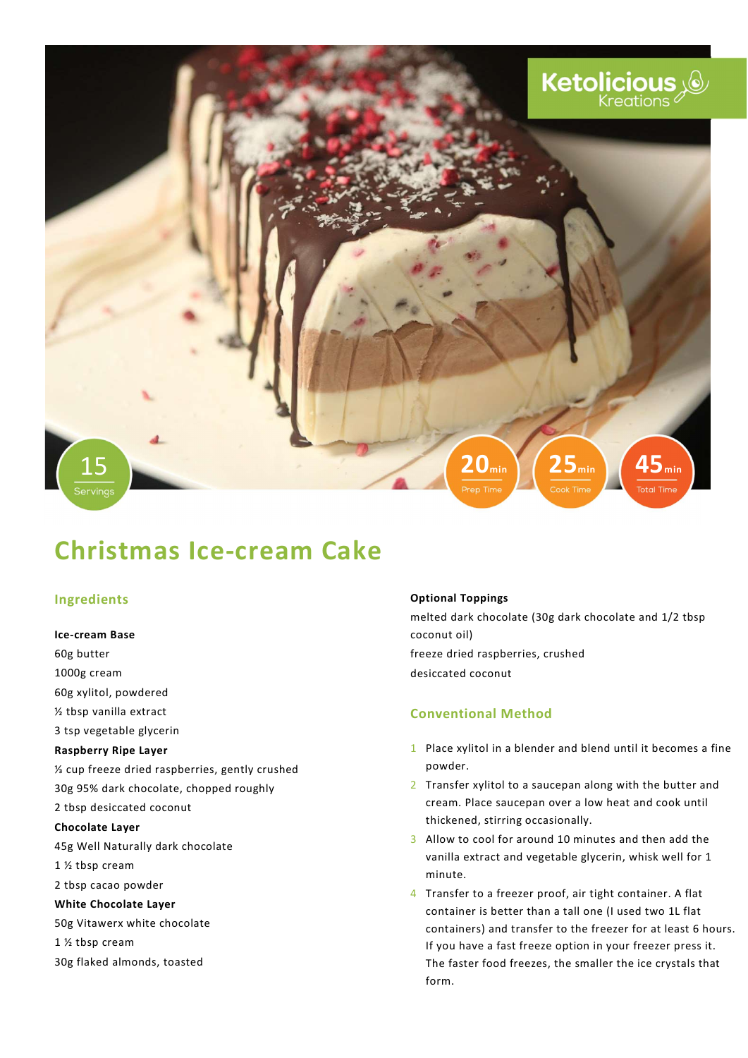

# Christmas Ice-cream Cake

## Ingredients

Ice-cream Base 60g butter 1000g cream 60g xylitol, powdered ½ tbsp vanilla extract 3 tsp vegetable glycerin Raspberry Ripe Layer ⅓ cup freeze dried raspberries, gently crushed 30g 95% dark chocolate, chopped roughly 2 tbsp desiccated coconut Chocolate Layer 45g Well Naturally dark chocolate 1 ½ tbsp cream 2 tbsp cacao powder White Chocolate Layer 50g Vitawerx white chocolate 1 ½ tbsp cream 30g flaked almonds, toasted

#### Optional Toppings

melted dark chocolate (30g dark chocolate and 1/2 tbsp coconut oil) freeze dried raspberries, crushed desiccated coconut

## Conventional Method

- 1 Place xylitol in a blender and blend until it becomes a fine powder.
- 2 Transfer xylitol to a saucepan along with the butter and cream. Place saucepan over a low heat and cook until thickened, stirring occasionally.
- 3 Allow to cool for around 10 minutes and then add the vanilla extract and vegetable glycerin, whisk well for 1 minute.
- 4 Transfer to a freezer proof, air tight container. A flat container is better than a tall one (I used two 1L flat containers) and transfer to the freezer for at least 6 hours. If you have a fast freeze option in your freezer press it. The faster food freezes, the smaller the ice crystals that form.